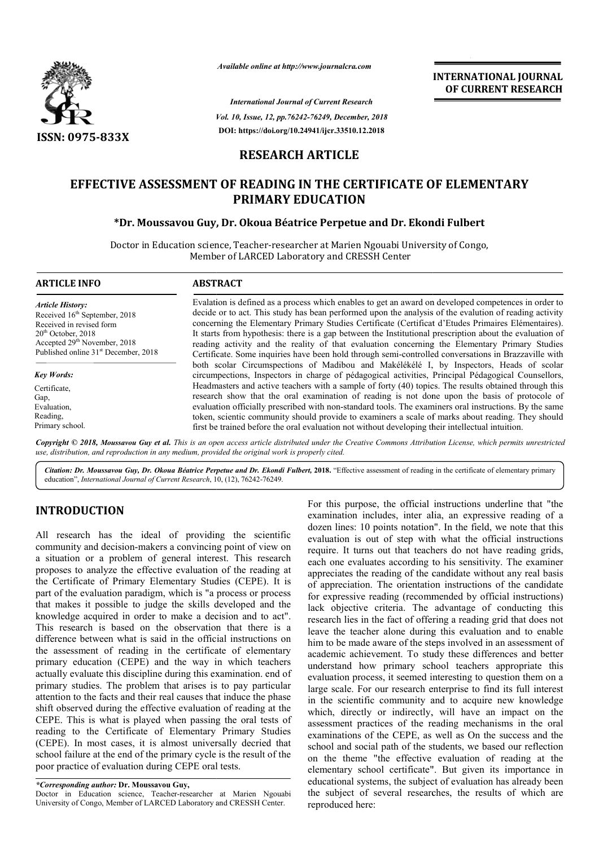

*Available online at http://www.journalcra.com*

*Vol. 10, Issue, 12, pp. pp.76242-76249, December, 2018 International Journal of Current Research* **DOI: https://doi.org/10.24941/ijcr.33510.12.2018**

**INTERNATIONAL JOURNAL OF CURRENT RESEARCH**

# **RESEARCH ARTICLE**

# EFFECTIVE ASSESSMENT OF READING IN THE CERTIFICATE OF ELEMENTARY<br>PRIMARY EDUCATION<br>FL. Moussavou Guy, Dr. Okoua Béatrice Perpetue and Dr. Ekondi Fulbert\*\* **PRIMARY EDUCATION**

# **\*Dr. Moussavou Guy, Dr Dr. Okoua Béatrice Perpetue and Dr. Ekondi Fulbert**

Doctor in Education science, Teacher-researcher at Marien Ngouabi University of Congo, Member of LARCED Laboratory and CRESSH Center

| <b>ARTICLE INFO</b>                              | <b>ABSTRACT</b>                                                                                                                                                                               |
|--------------------------------------------------|-----------------------------------------------------------------------------------------------------------------------------------------------------------------------------------------------|
| <b>Article History:</b>                          | Evalation is defined as a process which enables to get an award on developed competences in order to                                                                                          |
| Received 16 <sup>th</sup> September, 2018        | decide or to act. This study has been performed upon the analysis of the evalution of reading activity                                                                                        |
| Received in revised form                         | concerning the Elementary Primary Studies Certificate (Certificat d'Etudes Primaires Elémentaires).                                                                                           |
| $20th$ October, 2018                             | It starts from hypothesis: there is a gap between the Institutional prescription about the evaluation of                                                                                      |
| Accepted 29 <sup>th</sup> November, 2018         | reading activity and the reality of that evaluation concerning the Elementary Primary Studies                                                                                                 |
| Published online 31 <sup>st</sup> December, 2018 | Certificate. Some inquiries have been hold through semi-controlled conversations in Brazzaville with                                                                                          |
| <b>Key Words:</b>                                | both scolar Circumspections of Madibou and Makélékélé I, by Inspectors, Heads of scolar<br>circumpections, Inspectors in charge of pédagogical activities, Principal Pédagogical Counsellors, |
| Certificate,                                     | Headmasters and active teachers with a sample of forty (40) topics. The results obtained through this                                                                                         |
| Gap,                                             | research show that the oral examination of reading is not done upon the basis of protocole of                                                                                                 |
| Evaluation.                                      | evaluation officially prescribed with non-standard tools. The examiners oral instructions. By the same                                                                                        |
| Reading,                                         | token, scientic community should provide to examiners a scale of marks about reading. They should                                                                                             |
| Primary school.                                  | first be trained before the oral evaluation not without developing their intellectual intuition.                                                                                              |

Copyright © 2018, Moussavou Guy et al. This is an open access article distributed under the Creative Commons Attribution License, which permits unrestrictea *use, distribution, and reproduction in any medium, provided the original work is properly cited.*

Citation: Dr. Moussavou Guy, Dr. Okoua Béatrice Perpetue and Dr. Ekondi Fulbert, 2018. "Effective assessment of reading in the certificate of elementary primary education", International Journal of Current Research, 10, (12), 76242-76249.

# **INTRODUCTION**

All research has the ideal of providing the scientific community and decision-makers a convincing point of view on a situation or a problem of general interest. This research proposes to analyze the effective evaluation of the reading at the Certificate of Primary Elementary Studies (CEPE). It is part of the evaluation paradigm, which is "a process or process that makes it possible to judge the skills developed and the knowledge acquired in order to make a decision and to act". This research is based on the observation that there is a difference between what is said in the official instructions on the assessment of reading in the certificate of elementary primary education (CEPE) and the way in which teachers actually evaluate this discipline during this examination. end of primary studies. The problem that arises is to pay particular attention to the facts and their real causes that induce the phase shift observed during the effective evaluation of reading at the CEPE. This is what is played when passing the oral tests of reading to the Certificate of Elementary Primary Studies (CEPE). In most cases, it is almost universally decried that school failure at the end of the primary cycle is the result of the poor practice of evaluation during CEPE oral tests. n order to make a decision and to act".<br>
ed on the observation that there is a<br>
hat is said in the official instructions on<br>
ading in the certificate of elementary<br>
ZEPE) and the way in which teachers<br>
discipline during th

*\*Corresponding author:* **Dr. Moussavou Guy,** 

Doctor in Education science, Teacher-researcher at Marien Ngouabi Doctor in Education science, Teacher-researcher at Marien Ngoua<br>University of Congo, Member of LARCED Laboratory and CRESSH Center.

For this purpose, the official instructions underline that "the examination includes, inter alia, an expressive reading of a dozen lines: 10 points notation". In the field, we note that this evaluation is out of step with what the official instructions require. It turns out that teachers do not have reading grids, each one evaluates according to his sensitivity. The examiner appreciates the reading of the candidate without any real basis of appreciation. The orientation instructions of the candidate for expressive reading (recommended by official instructions) lack objective criteria. The advantage of conducting this research lies in the fact of offering a reading grid that does not leave the teacher alone during this evaluation and to enable him to be made aware of the steps involved in an assessment of academic achievement. To study these differences and better understand how primary school teachers appropriate this evaluation process, it seemed interesting to question them on a large scale. For our research enterprise to find its full interest in the scientific community and to acquire new knowledge which, directly or indirectly, will have an impact on the assessment practices of the reading mechanisms in the oral examinations of the CEPE, as well as On the success and the school and social path of the students, we based our reflection school and social path of the students, we based our reflection<br>on the theme "the effective evaluation of reading at the elementary school certificate". But given its importance in educational systems, the subject of evaluation has already been the subject of several researches, the results of which are reproduced here: For this purpose, the official instructions underline that "the examination includes, inter alia, an expressive reading of a dozen lines: 10 points notation". In the field, we note that this of the apprecial instructions<br>wire. It turns out that teachers do not have reading grids,<br>th one evaluates according to his sensitivity. The examiner<br>preciates the reading of the candidate without any real basis<br>appreciati in the scientific community and to acquire new which, directly or indirectly, will have an imp assessment practices of the reading mechanisms EXERCISE TOWER ANTIONAL JOURNAL TOWAL JOURNAL TOWAL JOURNAL TOUT CONSULTER TREST ARCHAIN THE CONSULTER CHEVALUS DREAM DREAM THE CONSULTER THE CONSULTER THE CONSULTER THE CONSULTER THE CONSULTER THE CONSULTER THE CONSULTER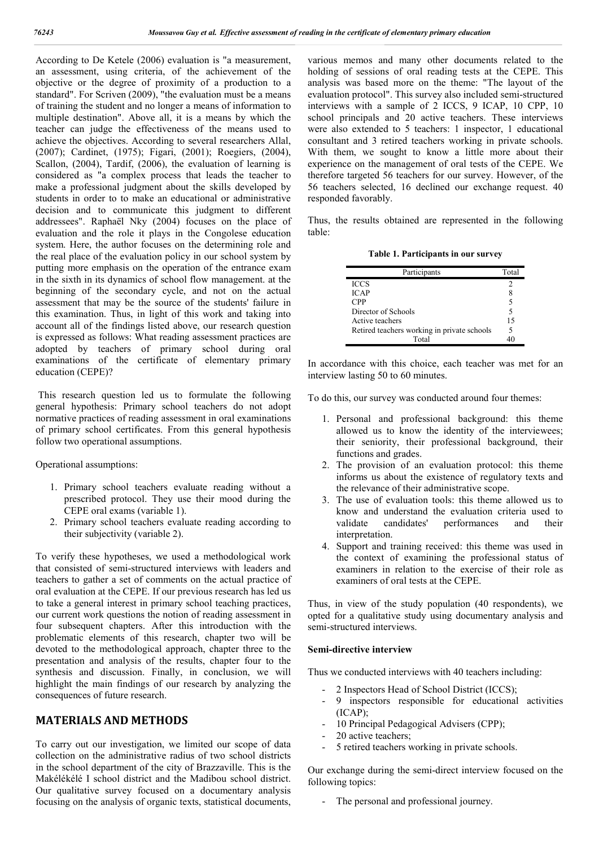According to De Ketele (2006) evaluation is "a measurement, an assessment, using criteria, of the achievement of the objective or the degree of proximity of a production to a standard". For Scriven (2009), "the evaluation must be a means of training the student and no longer a means of information to multiple destination". Above all, it is a means by which the teacher can judge the effectiveness of the means used to achieve the objectives. According to several researchers Allal, (2007); Cardinet, (1975); Figari, (2001); Roegiers, (2004), Scallon, (2004), Tardif, (2006), the evaluation of learning is considered as "a complex process that leads the teacher to make a professional judgment about the skills developed by students in order to to make an educational or administrative decision and to communicate this judgment to different addressees". Raphaël Nky (2004) focuses on the place of evaluation and the role it plays in the Congolese education system. Here, the author focuses on the determining role and the real place of the evaluation policy in our school system by putting more emphasis on the operation of the entrance exam in the sixth in its dynamics of school flow management. at the beginning of the secondary cycle, and not on the actual assessment that may be the source of the students' failure in this examination. Thus, in light of this work and taking into account all of the findings listed above, our research question is expressed as follows: What reading assessment practices are adopted by teachers of primary school during oral examinations of the certificate of elementary primary education (CEPE)?

This research question led us to formulate the following general hypothesis: Primary school teachers do not adopt normative practices of reading assessment in oral examinations of primary school certificates. From this general hypothesis follow two operational assumptions.

Operational assumptions:

- 1. Primary school teachers evaluate reading without a prescribed protocol. They use their mood during the CEPE oral exams (variable 1).
- 2. Primary school teachers evaluate reading according to their subjectivity (variable 2).

To verify these hypotheses, we used a methodological work that consisted of semi-structured interviews with leaders and teachers to gather a set of comments on the actual practice of oral evaluation at the CEPE. If our previous research has led us to take a general interest in primary school teaching practices, our current work questions the notion of reading assessment in four subsequent chapters. After this introduction with the problematic elements of this research, chapter two will be devoted to the methodological approach, chapter three to the presentation and analysis of the results, chapter four to the synthesis and discussion. Finally, in conclusion, we will highlight the main findings of our research by analyzing the consequences of future research.

# **MATERIALS AND METHODS**

To carry out our investigation, we limited our scope of data collection on the administrative radius of two school districts in the school department of the city of Brazzaville. This is the Makélékélé I school district and the Madibou school district. Our qualitative survey focused on a documentary analysis focusing on the analysis of organic texts, statistical documents,

various memos and many other documents related to the holding of sessions of oral reading tests at the CEPE. This analysis was based more on the theme: "The layout of the evaluation protocol". This survey also included semi-structured interviews with a sample of 2 ICCS, 9 ICAP, 10 CPP, 10 school principals and 20 active teachers. These interviews were also extended to 5 teachers: 1 inspector, 1 educational consultant and 3 retired teachers working in private schools. With them, we sought to know a little more about their experience on the management of oral tests of the CEPE. We therefore targeted 56 teachers for our survey. However, of the 56 teachers selected, 16 declined our exchange request. 40 responded favorably.

Thus, the results obtained are represented in the following table:

**Table 1. Participants in our survey**

| Participants                                |   |
|---------------------------------------------|---|
| <b>ICCS</b>                                 | 2 |
| ICAP                                        |   |
| <b>CPP</b>                                  | 5 |
| Director of Schools                         |   |
| Active teachers                             |   |
| Retired teachers working in private schools |   |
| Total                                       |   |

In accordance with this choice, each teacher was met for an interview lasting 50 to 60 minutes.

To do this, our survey was conducted around four themes:

- 1. Personal and professional background: this theme allowed us to know the identity of the interviewees; their seniority, their professional background, their functions and grades.
- 2. The provision of an evaluation protocol: this theme informs us about the existence of regulatory texts and the relevance of their administrative scope.
- 3. The use of evaluation tools: this theme allowed us to know and understand the evaluation criteria used to validate candidates' performances and their interpretation.
- 4. Support and training received: this theme was used in the context of examining the professional status of examiners in relation to the exercise of their role as examiners of oral tests at the CEPE.

Thus, in view of the study population (40 respondents), we opted for a qualitative study using documentary analysis and semi-structured interviews.

#### **Semi-directive interview**

Thus we conducted interviews with 40 teachers including:

- 2 Inspectors Head of School District (ICCS);
- 9 inspectors responsible for educational activities (ICAP);
- 10 Principal Pedagogical Advisers (CPP);
- 20 active teachers;
- 5 retired teachers working in private schools.

Our exchange during the semi-direct interview focused on the following topics:

- The personal and professional journey.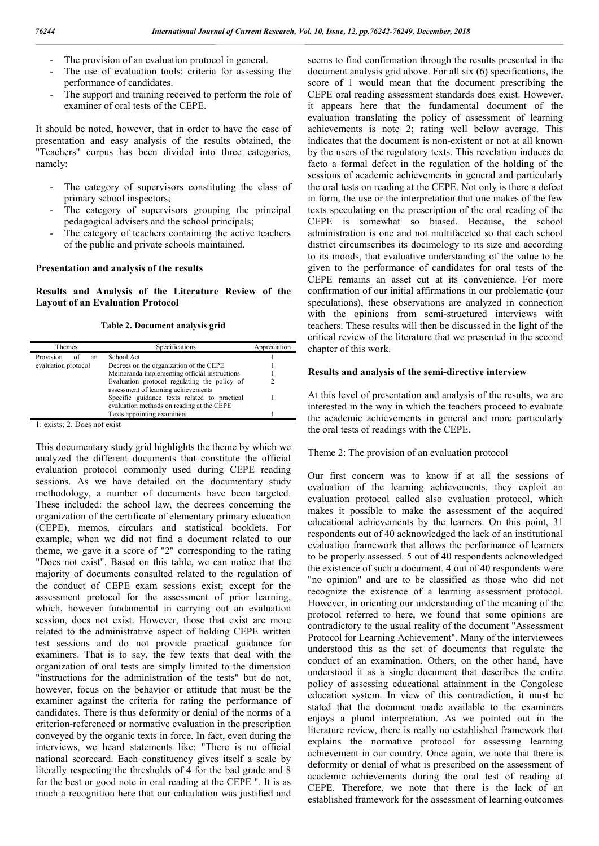- The provision of an evaluation protocol in general.
- The use of evaluation tools: criteria for assessing the performance of candidates.
- The support and training received to perform the role of examiner of oral tests of the CEPE.

It should be noted, however, that in order to have the ease of presentation and easy analysis of the results obtained, the "Teachers" corpus has been divided into three categories, namely:

- The category of supervisors constituting the class of primary school inspectors;
- The category of supervisors grouping the principal pedagogical advisers and the school principals;
- The category of teachers containing the active teachers of the public and private schools maintained.

#### **Presentation and analysis of the results**

**Results and Analysis of the Literature Review of the Layout of an Evaluation Protocol**

#### **Table 2. Document analysis grid**

| Themes                | Spécifications                               | Appréciation |
|-----------------------|----------------------------------------------|--------------|
| Provision<br>of<br>an | School Act                                   |              |
| evaluation protocol   | Decrees on the organization of the CEPE      |              |
|                       | Memoranda implementing official instructions |              |
|                       | Evaluation protocol regulating the policy of |              |
|                       | assessment of learning achievements          |              |
|                       | Specific guidance texts related to practical |              |
|                       | evaluation methods on reading at the CEPE    |              |
|                       | Texts appointing examiners                   |              |

1: exists; 2: Does not exist

This documentary study grid highlights the theme by which we analyzed the different documents that constitute the official evaluation protocol commonly used during CEPE reading sessions. As we have detailed on the documentary study methodology, a number of documents have been targeted. These included: the school law, the decrees concerning the organization of the certificate of elementary primary education (CEPE), memos, circulars and statistical booklets. For example, when we did not find a document related to our theme, we gave it a score of "2" corresponding to the rating "Does not exist". Based on this table, we can notice that the majority of documents consulted related to the regulation of the conduct of CEPE exam sessions exist; except for the assessment protocol for the assessment of prior learning, which, however fundamental in carrying out an evaluation session, does not exist. However, those that exist are more related to the administrative aspect of holding CEPE written test sessions and do not provide practical guidance for examiners. That is to say, the few texts that deal with the organization of oral tests are simply limited to the dimension "instructions for the administration of the tests" but do not, however, focus on the behavior or attitude that must be the examiner against the criteria for rating the performance of candidates. There is thus deformity or denial of the norms of a criterion-referenced or normative evaluation in the prescription conveyed by the organic texts in force. In fact, even during the interviews, we heard statements like: "There is no official national scorecard. Each constituency gives itself a scale by literally respecting the thresholds of 4 for the bad grade and 8 for the best or good note in oral reading at the CEPE ". It is as much a recognition here that our calculation was justified and

seems to find confirmation through the results presented in the document analysis grid above. For all six (6) specifications, the score of 1 would mean that the document prescribing the CEPE oral reading assessment standards does exist. However, it appears here that the fundamental document of the evaluation translating the policy of assessment of learning achievements is note 2; rating well below average. This indicates that the document is non-existent or not at all known by the users of the regulatory texts. This revelation induces de facto a formal defect in the regulation of the holding of the sessions of academic achievements in general and particularly the oral tests on reading at the CEPE. Not only is there a defect in form, the use or the interpretation that one makes of the few texts speculating on the prescription of the oral reading of the CEPE is somewhat so biased. Because, the school administration is one and not multifaceted so that each school district circumscribes its docimology to its size and according to its moods, that evaluative understanding of the value to be given to the performance of candidates for oral tests of the CEPE remains an asset cut at its convenience. For more confirmation of our initial affirmations in our problematic (our speculations), these observations are analyzed in connection with the opinions from semi-structured interviews with teachers. These results will then be discussed in the light of the critical review of the literature that we presented in the second chapter of this work.

#### **Results and analysis of the semi-directive interview**

At this level of presentation and analysis of the results, we are interested in the way in which the teachers proceed to evaluate the academic achievements in general and more particularly the oral tests of readings with the CEPE.

#### Theme 2: The provision of an evaluation protocol

Our first concern was to know if at all the sessions of evaluation of the learning achievements, they exploit an evaluation protocol called also evaluation protocol, which makes it possible to make the assessment of the acquired educational achievements by the learners. On this point, 31 respondents out of 40 acknowledged the lack of an institutional evaluation framework that allows the performance of learners to be properly assessed. 5 out of 40 respondents acknowledged the existence of such a document. 4 out of 40 respondents were "no opinion" and are to be classified as those who did not recognize the existence of a learning assessment protocol. However, in orienting our understanding of the meaning of the protocol referred to here, we found that some opinions are contradictory to the usual reality of the document "Assessment Protocol for Learning Achievement". Many of the interviewees understood this as the set of documents that regulate the conduct of an examination. Others, on the other hand, have understood it as a single document that describes the entire policy of assessing educational attainment in the Congolese education system. In view of this contradiction, it must be stated that the document made available to the examiners enjoys a plural interpretation. As we pointed out in the literature review, there is really no established framework that explains the normative protocol for assessing learning achievement in our country. Once again, we note that there is deformity or denial of what is prescribed on the assessment of academic achievements during the oral test of reading at CEPE. Therefore, we note that there is the lack of an established framework for the assessment of learning outcomes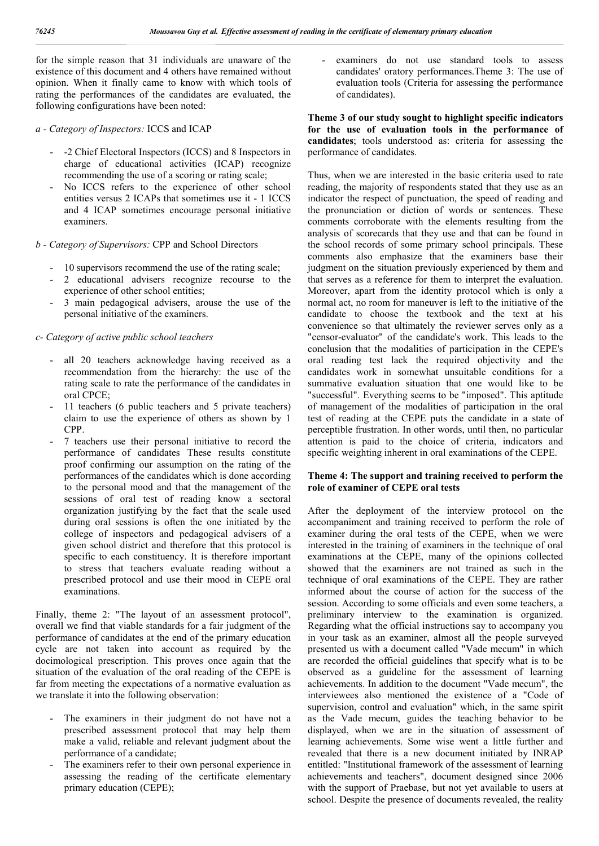for the simple reason that 31 individuals are unaware of the existence of this document and 4 others have remained without opinion. When it finally came to know with which tools of rating the performances of the candidates are evaluated, the following configurations have been noted:

*a - Category of Inspectors:* ICCS and ICAP

- -2 Chief Electoral Inspectors (ICCS) and 8 Inspectors in charge of educational activities (ICAP) recognize recommending the use of a scoring or rating scale;
- No ICCS refers to the experience of other school entities versus 2 ICAPs that sometimes use it - 1 ICCS and 4 ICAP sometimes encourage personal initiative examiners.

# *b - Category of Supervisors:* CPP and School Directors

- 10 supervisors recommend the use of the rating scale;
- 2 educational advisers recognize recourse to the experience of other school entities;
- 3 main pedagogical advisers, arouse the use of the personal initiative of the examiners.

# *c- Category of active public school teachers*

- all 20 teachers acknowledge having received as a recommendation from the hierarchy: the use of the rating scale to rate the performance of the candidates in oral CPCE;
- 11 teachers (6 public teachers and 5 private teachers) claim to use the experience of others as shown by 1 CPP.
- 7 teachers use their personal initiative to record the performance of candidates These results constitute proof confirming our assumption on the rating of the performances of the candidates which is done according to the personal mood and that the management of the sessions of oral test of reading know a sectoral organization justifying by the fact that the scale used during oral sessions is often the one initiated by the college of inspectors and pedagogical advisers of a given school district and therefore that this protocol is specific to each constituency. It is therefore important to stress that teachers evaluate reading without a prescribed protocol and use their mood in CEPE oral examinations.

Finally, theme 2: "The layout of an assessment protocol", overall we find that viable standards for a fair judgment of the performance of candidates at the end of the primary education cycle are not taken into account as required by the docimological prescription. This proves once again that the situation of the evaluation of the oral reading of the CEPE is far from meeting the expectations of a normative evaluation as we translate it into the following observation:

- The examiners in their judgment do not have not a prescribed assessment protocol that may help them make a valid, reliable and relevant judgment about the performance of a candidate;
- The examiners refer to their own personal experience in assessing the reading of the certificate elementary primary education (CEPE);

examiners do not use standard tools to assess candidates' oratory performances.Theme 3: The use of evaluation tools (Criteria for assessing the performance of candidates).

**Theme 3 of our study sought to highlight specific indicators for the use of evaluation tools in the performance of candidates**; tools understood as: criteria for assessing the performance of candidates.

Thus, when we are interested in the basic criteria used to rate reading, the majority of respondents stated that they use as an indicator the respect of punctuation, the speed of reading and the pronunciation or diction of words or sentences. These comments corroborate with the elements resulting from the analysis of scorecards that they use and that can be found in the school records of some primary school principals. These comments also emphasize that the examiners base their judgment on the situation previously experienced by them and that serves as a reference for them to interpret the evaluation. Moreover, apart from the identity protocol which is only a normal act, no room for maneuver is left to the initiative of the candidate to choose the textbook and the text at his convenience so that ultimately the reviewer serves only as a "censor-evaluator" of the candidate's work. This leads to the conclusion that the modalities of participation in the CEPE's oral reading test lack the required objectivity and the candidates work in somewhat unsuitable conditions for a summative evaluation situation that one would like to be "successful". Everything seems to be "imposed". This aptitude of management of the modalities of participation in the oral test of reading at the CEPE puts the candidate in a state of perceptible frustration. In other words, until then, no particular attention is paid to the choice of criteria, indicators and specific weighting inherent in oral examinations of the CEPE.

## **Theme 4: The support and training received to perform the role of examiner of CEPE oral tests**

After the deployment of the interview protocol on the accompaniment and training received to perform the role of examiner during the oral tests of the CEPE, when we were interested in the training of examiners in the technique of oral examinations at the CEPE, many of the opinions collected showed that the examiners are not trained as such in the technique of oral examinations of the CEPE. They are rather informed about the course of action for the success of the session. According to some officials and even some teachers, a preliminary interview to the examination is organized. Regarding what the official instructions say to accompany you in your task as an examiner, almost all the people surveyed presented us with a document called "Vade mecum" in which are recorded the official guidelines that specify what is to be observed as a guideline for the assessment of learning achievements. In addition to the document "Vade mecum", the interviewees also mentioned the existence of a "Code of supervision, control and evaluation" which, in the same spirit as the Vade mecum, guides the teaching behavior to be displayed, when we are in the situation of assessment of learning achievements. Some wise went a little further and revealed that there is a new document initiated by INRAP entitled: "Institutional framework of the assessment of learning achievements and teachers", document designed since 2006 with the support of Praebase, but not yet available to users at school. Despite the presence of documents revealed, the reality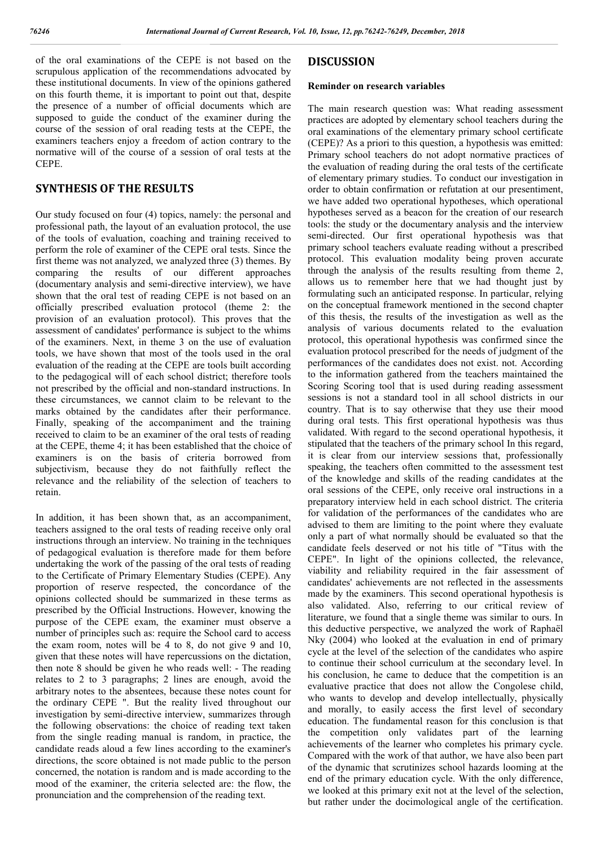of the oral examinations of the CEPE is not based on the scrupulous application of the recommendations advocated by these institutional documents. In view of the opinions gathered on this fourth theme, it is important to point out that, despite the presence of a number of official documents which are supposed to guide the conduct of the examiner during the course of the session of oral reading tests at the CEPE, the examiners teachers enjoy a freedom of action contrary to the normative will of the course of a session of oral tests at the CEPE.

# **SYNTHESIS OF THE RESULTS**

Our study focused on four (4) topics, namely: the personal and professional path, the layout of an evaluation protocol, the use of the tools of evaluation, coaching and training received to perform the role of examiner of the CEPE oral tests. Since the first theme was not analyzed, we analyzed three (3) themes. By comparing the results of our different approaches (documentary analysis and semi-directive interview), we have shown that the oral test of reading CEPE is not based on an officially prescribed evaluation protocol (theme 2: the provision of an evaluation protocol). This proves that the assessment of candidates' performance is subject to the whims of the examiners. Next, in theme 3 on the use of evaluation tools, we have shown that most of the tools used in the oral evaluation of the reading at the CEPE are tools built according to the pedagogical will of each school district; therefore tools not prescribed by the official and non-standard instructions. In these circumstances, we cannot claim to be relevant to the marks obtained by the candidates after their performance. Finally, speaking of the accompaniment and the training received to claim to be an examiner of the oral tests of reading at the CEPE, theme 4; it has been established that the choice of examiners is on the basis of criteria borrowed from subjectivism, because they do not faithfully reflect the relevance and the reliability of the selection of teachers to retain.

In addition, it has been shown that, as an accompaniment, teachers assigned to the oral tests of reading receive only oral instructions through an interview. No training in the techniques of pedagogical evaluation is therefore made for them before undertaking the work of the passing of the oral tests of reading to the Certificate of Primary Elementary Studies (CEPE). Any proportion of reserve respected, the concordance of the opinions collected should be summarized in these terms as prescribed by the Official Instructions. However, knowing the purpose of the CEPE exam, the examiner must observe a number of principles such as: require the School card to access the exam room, notes will be 4 to 8, do not give 9 and 10, given that these notes will have repercussions on the dictation, then note 8 should be given he who reads well: - The reading relates to 2 to 3 paragraphs; 2 lines are enough, avoid the arbitrary notes to the absentees, because these notes count for the ordinary CEPE ". But the reality lived throughout our investigation by semi-directive interview, summarizes through the following observations: the choice of reading text taken from the single reading manual is random, in practice, the candidate reads aloud a few lines according to the examiner's directions, the score obtained is not made public to the person concerned, the notation is random and is made according to the mood of the examiner, the criteria selected are: the flow, the pronunciation and the comprehension of the reading text.

## **DISCUSSION**

#### **Reminder on research variables**

The main research question was: What reading assessment practices are adopted by elementary school teachers during the oral examinations of the elementary primary school certificate (CEPE)? As a priori to this question, a hypothesis was emitted: Primary school teachers do not adopt normative practices of the evaluation of reading during the oral tests of the certificate of elementary primary studies. To conduct our investigation in order to obtain confirmation or refutation at our presentiment, we have added two operational hypotheses, which operational hypotheses served as a beacon for the creation of our research tools: the study or the documentary analysis and the interview semi-directed. Our first operational hypothesis was that primary school teachers evaluate reading without a prescribed protocol. This evaluation modality being proven accurate through the analysis of the results resulting from theme 2, allows us to remember here that we had thought just by formulating such an anticipated response. In particular, relying on the conceptual framework mentioned in the second chapter of this thesis, the results of the investigation as well as the analysis of various documents related to the evaluation protocol, this operational hypothesis was confirmed since the evaluation protocol prescribed for the needs of judgment of the performances of the candidates does not exist. not. According to the information gathered from the teachers maintained the Scoring Scoring tool that is used during reading assessment sessions is not a standard tool in all school districts in our country. That is to say otherwise that they use their mood during oral tests. This first operational hypothesis was thus validated. With regard to the second operational hypothesis, it stipulated that the teachers of the primary school In this regard, it is clear from our interview sessions that, professionally speaking, the teachers often committed to the assessment test of the knowledge and skills of the reading candidates at the oral sessions of the CEPE, only receive oral instructions in a preparatory interview held in each school district. The criteria for validation of the performances of the candidates who are advised to them are limiting to the point where they evaluate only a part of what normally should be evaluated so that the candidate feels deserved or not his title of "Titus with the CEPE". In light of the opinions collected, the relevance, viability and reliability required in the fair assessment of candidates' achievements are not reflected in the assessments made by the examiners. This second operational hypothesis is also validated. Also, referring to our critical review of literature, we found that a single theme was similar to ours. In this deductive perspective, we analyzed the work of Raphaël Nky (2004) who looked at the evaluation in end of primary cycle at the level of the selection of the candidates who aspire to continue their school curriculum at the secondary level. In his conclusion, he came to deduce that the competition is an evaluative practice that does not allow the Congolese child, who wants to develop and develop intellectually, physically and morally, to easily access the first level of secondary education. The fundamental reason for this conclusion is that the competition only validates part of the learning achievements of the learner who completes his primary cycle. Compared with the work of that author, we have also been part of the dynamic that scrutinizes school hazards looming at the end of the primary education cycle. With the only difference, we looked at this primary exit not at the level of the selection, but rather under the docimological angle of the certification.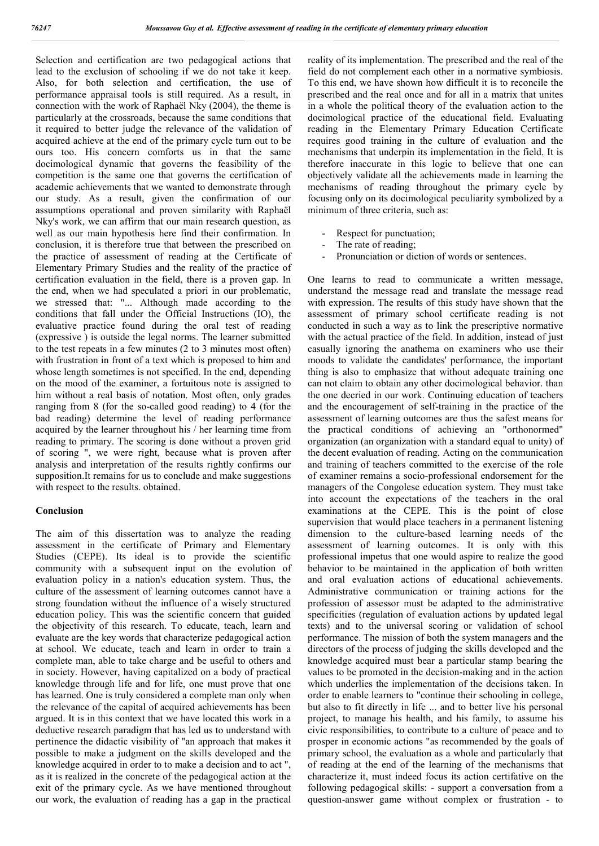Selection and certification are two pedagogical actions that lead to the exclusion of schooling if we do not take it keep. Also, for both selection and certification, the use of performance appraisal tools is still required. As a result, in connection with the work of Raphaël Nky (2004), the theme is particularly at the crossroads, because the same conditions that it required to better judge the relevance of the validation of acquired achieve at the end of the primary cycle turn out to be ours too. His concern comforts us in that the same docimological dynamic that governs the feasibility of the competition is the same one that governs the certification of academic achievements that we wanted to demonstrate through our study. As a result, given the confirmation of our assumptions operational and proven similarity with Raphaël Nky's work, we can affirm that our main research question, as well as our main hypothesis here find their confirmation. In conclusion, it is therefore true that between the prescribed on the practice of assessment of reading at the Certificate of Elementary Primary Studies and the reality of the practice of certification evaluation in the field, there is a proven gap. In the end, when we had speculated a priori in our problematic, we stressed that: "... Although made according to the conditions that fall under the Official Instructions (IO), the evaluative practice found during the oral test of reading (expressive ) is outside the legal norms. The learner submitted to the test repeats in a few minutes (2 to 3 minutes most often) with frustration in front of a text which is proposed to him and whose length sometimes is not specified. In the end, depending on the mood of the examiner, a fortuitous note is assigned to him without a real basis of notation. Most often, only grades ranging from 8 (for the so-called good reading) to 4 (for the bad reading) determine the level of reading performance acquired by the learner throughout his / her learning time from reading to primary. The scoring is done without a proven grid of scoring ", we were right, because what is proven after analysis and interpretation of the results rightly confirms our supposition.It remains for us to conclude and make suggestions with respect to the results. obtained.

#### **Conclusion**

The aim of this dissertation was to analyze the reading assessment in the certificate of Primary and Elementary Studies (CEPE). Its ideal is to provide the scientific community with a subsequent input on the evolution of evaluation policy in a nation's education system. Thus, the culture of the assessment of learning outcomes cannot have a strong foundation without the influence of a wisely structured education policy. This was the scientific concern that guided the objectivity of this research. To educate, teach, learn and evaluate are the key words that characterize pedagogical action at school. We educate, teach and learn in order to train a complete man, able to take charge and be useful to others and in society. However, having capitalized on a body of practical knowledge through life and for life, one must prove that one has learned. One is truly considered a complete man only when the relevance of the capital of acquired achievements has been argued. It is in this context that we have located this work in a deductive research paradigm that has led us to understand with pertinence the didactic visibility of "an approach that makes it possible to make a judgment on the skills developed and the knowledge acquired in order to to make a decision and to act ", as it is realized in the concrete of the pedagogical action at the exit of the primary cycle. As we have mentioned throughout our work, the evaluation of reading has a gap in the practical

reality of its implementation. The prescribed and the real of the field do not complement each other in a normative symbiosis. To this end, we have shown how difficult it is to reconcile the prescribed and the real once and for all in a matrix that unites in a whole the political theory of the evaluation action to the docimological practice of the educational field. Evaluating reading in the Elementary Primary Education Certificate requires good training in the culture of evaluation and the mechanisms that underpin its implementation in the field. It is therefore inaccurate in this logic to believe that one can objectively validate all the achievements made in learning the mechanisms of reading throughout the primary cycle by focusing only on its docimological peculiarity symbolized by a minimum of three criteria, such as:

- Respect for punctuation;
- The rate of reading;
- Pronunciation or diction of words or sentences.

One learns to read to communicate a written message, understand the message read and translate the message read with expression. The results of this study have shown that the assessment of primary school certificate reading is not conducted in such a way as to link the prescriptive normative with the actual practice of the field. In addition, instead of just casually ignoring the anathema on examiners who use their moods to validate the candidates' performance, the important thing is also to emphasize that without adequate training one can not claim to obtain any other docimological behavior. than the one decried in our work. Continuing education of teachers and the encouragement of self-training in the practice of the assessment of learning outcomes are thus the safest means for the practical conditions of achieving an "orthonormed" organization (an organization with a standard equal to unity) of the decent evaluation of reading. Acting on the communication and training of teachers committed to the exercise of the role of examiner remains a socio-professional endorsement for the managers of the Congolese education system. They must take into account the expectations of the teachers in the oral examinations at the CEPE. This is the point of close supervision that would place teachers in a permanent listening dimension to the culture-based learning needs of the assessment of learning outcomes. It is only with this professional impetus that one would aspire to realize the good behavior to be maintained in the application of both written and oral evaluation actions of educational achievements. Administrative communication or training actions for the profession of assessor must be adapted to the administrative specificities (regulation of evaluation actions by updated legal texts) and to the universal scoring or validation of school performance. The mission of both the system managers and the directors of the process of judging the skills developed and the knowledge acquired must bear a particular stamp bearing the values to be promoted in the decision-making and in the action which underlies the implementation of the decisions taken. In order to enable learners to "continue their schooling in college, but also to fit directly in life ... and to better live his personal project, to manage his health, and his family, to assume his civic responsibilities, to contribute to a culture of peace and to prosper in economic actions "as recommended by the goals of primary school, the evaluation as a whole and particularly that of reading at the end of the learning of the mechanisms that characterize it, must indeed focus its action certifative on the following pedagogical skills: - support a conversation from a question-answer game without complex or frustration - to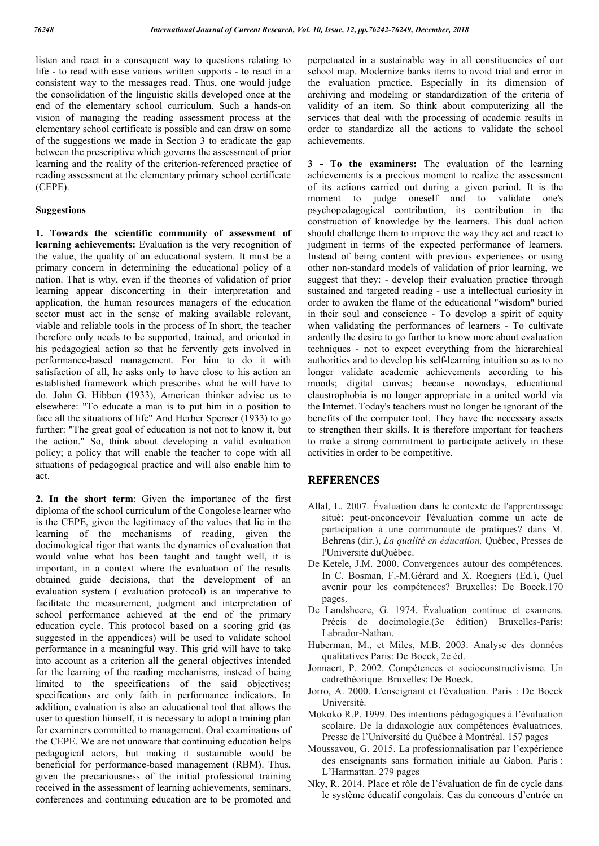listen and react in a consequent way to questions relating to life - to read with ease various written supports - to react in a consistent way to the messages read. Thus, one would judge the consolidation of the linguistic skills developed once at the end of the elementary school curriculum. Such a hands-on vision of managing the reading assessment process at the elementary school certificate is possible and can draw on some of the suggestions we made in Section 3 to eradicate the gap between the prescriptive which governs the assessment of prior learning and the reality of the criterion-referenced practice of reading assessment at the elementary primary school certificate (CEPE).

#### **Suggestions**

**1. Towards the scientific community of assessment of learning achievements:** Evaluation is the very recognition of the value, the quality of an educational system. It must be a primary concern in determining the educational policy of a nation. That is why, even if the theories of validation of prior learning appear disconcerting in their interpretation and application, the human resources managers of the education sector must act in the sense of making available relevant, viable and reliable tools in the process of In short, the teacher therefore only needs to be supported, trained, and oriented in his pedagogical action so that he fervently gets involved in performance-based management. For him to do it with satisfaction of all, he asks only to have close to his action an established framework which prescribes what he will have to do. John G. Hibben (1933), American thinker advise us to elsewhere: "To educate a man is to put him in a position to face all the situations of life" And Herber Spenser (1933) to go further: "The great goal of education is not not to know it, but the action." So, think about developing a valid evaluation policy; a policy that will enable the teacher to cope with all situations of pedagogical practice and will also enable him to act.

**2. In the short term**: Given the importance of the first diploma of the school curriculum of the Congolese learner who is the CEPE, given the legitimacy of the values that lie in the learning of the mechanisms of reading, given the docimological rigor that wants the dynamics of evaluation that would value what has been taught and taught well, it is important, in a context where the evaluation of the results obtained guide decisions, that the development of an evaluation system ( evaluation protocol) is an imperative to facilitate the measurement, judgment and interpretation of school performance achieved at the end of the primary education cycle. This protocol based on a scoring grid (as suggested in the appendices) will be used to validate school performance in a meaningful way. This grid will have to take into account as a criterion all the general objectives intended for the learning of the reading mechanisms, instead of being limited to the specifications of the said objectives; specifications are only faith in performance indicators. In addition, evaluation is also an educational tool that allows the user to question himself, it is necessary to adopt a training plan for examiners committed to management. Oral examinations of the CEPE. We are not unaware that continuing education helps pedagogical actors, but making it sustainable would be beneficial for performance-based management (RBM). Thus, given the precariousness of the initial professional training received in the assessment of learning achievements, seminars, conferences and continuing education are to be promoted and

perpetuated in a sustainable way in all constituencies of our school map. Modernize banks items to avoid trial and error in the evaluation practice. Especially in its dimension of archiving and modeling or standardization of the criteria of validity of an item. So think about computerizing all the services that deal with the processing of academic results in order to standardize all the actions to validate the school achievements.

**3 - To the examiners:** The evaluation of the learning achievements is a precious moment to realize the assessment of its actions carried out during a given period. It is the moment to judge oneself and to validate one's psychopedagogical contribution, its contribution in the construction of knowledge by the learners. This dual action should challenge them to improve the way they act and react to judgment in terms of the expected performance of learners. Instead of being content with previous experiences or using other non-standard models of validation of prior learning, we suggest that they: - develop their evaluation practice through sustained and targeted reading - use a intellectual curiosity in order to awaken the flame of the educational "wisdom" buried in their soul and conscience - To develop a spirit of equity when validating the performances of learners - To cultivate ardently the desire to go further to know more about evaluation techniques - not to expect everything from the hierarchical authorities and to develop his self-learning intuition so as to no longer validate academic achievements according to his moods; digital canvas; because nowadays, educational claustrophobia is no longer appropriate in a united world via the Internet. Today's teachers must no longer be ignorant of the benefits of the computer tool. They have the necessary assets to strengthen their skills. It is therefore important for teachers to make a strong commitment to participate actively in these activities in order to be competitive.

# **REFERENCES**

- Allal, L. 2007. Évaluation dans le contexte de l'apprentissage situé: peut-onconcevoir l'évaluation comme un acte de participation à une communauté de pratiques? dans M. Behrens (dir.), *La qualité en éducation,* Québec, Presses de l'Université duQuébec.
- De Ketele, J.M. 2000. Convergences autour des compétences. In C. Bosman, F.-M.Gérard and X. Roegiers (Ed.), Quel avenir pour les compétences? Bruxelles: De Boeck.170 pages.
- De Landsheere, G. 1974. Évaluation continue et examens. Précis de docimologie.(3e édition) Bruxelles-Paris: Labrador-Nathan.
- Huberman, M., et Miles, M.B. 2003. Analyse des données qualitatives Paris: De Boeck, 2e éd.
- Jonnaert, P. 2002. Compétences et socioconstructivisme. Un cadrethéorique. Bruxelles: De Boeck.
- Jorro, A. 2000. L'enseignant et l'évaluation. Paris : De Boeck Université.
- Mokoko R.P. 1999. Des intentions pédagogiques à l'évaluation scolaire. De la didaxologie aux compétences évaluatrices*.* Presse de l'Université du Québec à Montréal. 157 pages
- Moussavou, G. 2015. La professionnalisation par l'expérience des enseignants sans formation initiale au Gabon. Paris : L'Harmattan. 279 pages
- Nky, R. 2014. Place et rôle de l'évaluation de fin de cycle dans le système éducatif congolais. Cas du concours d'entrée en